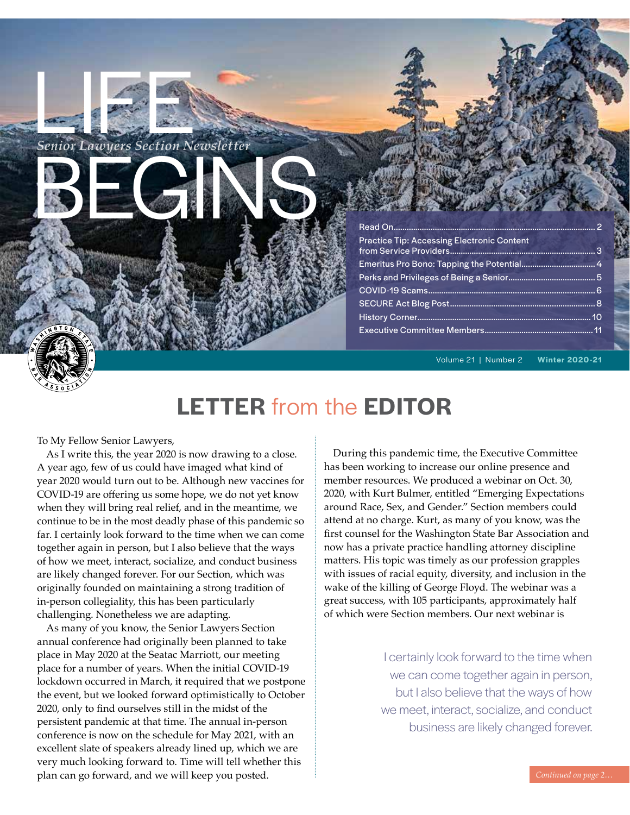*Senior Lawyers Section Newsletter* Benor Lawyers Section Newsletter

## Read On............................................................................................. 2 Practice Tip: Accessing Electronic Content from Service Providers................................................................... 3 Emeritus Pro Bono: Tapping the Potential.................................. 4 Perks and Privileges of Being a Senior........................................ 5 COVID-19 Scams............................................................................. 6 SECURE Act Blog Post................................................................... 8 History Corner................................................................................ 10

Executive Committee Members.................................................. 11

Volume 21 | Number 2 **Winter 2020-21**

# **LETTER** from the **EDITOR**

To My Fellow Senior Lawyers,

As I write this, the year 2020 is now drawing to a close. A year ago, few of us could have imaged what kind of year 2020 would turn out to be. Although new vaccines for COVID-19 are offering us some hope, we do not yet know when they will bring real relief, and in the meantime, we continue to be in the most deadly phase of this pandemic so far. I certainly look forward to the time when we can come together again in person, but I also believe that the ways of how we meet, interact, socialize, and conduct business are likely changed forever. For our Section, which was originally founded on maintaining a strong tradition of in-person collegiality, this has been particularly challenging. Nonetheless we are adapting.

As many of you know, the Senior Lawyers Section annual conference had originally been planned to take place in May 2020 at the Seatac Marriott, our meeting place for a number of years. When the initial COVID-19 lockdown occurred in March, it required that we postpone the event, but we looked forward optimistically to October 2020, only to find ourselves still in the midst of the persistent pandemic at that time. The annual in-person conference is now on the schedule for May 2021, with an excellent slate of speakers already lined up, which we are very much looking forward to. Time will tell whether this plan can go forward, and we will keep you posted.

During this pandemic time, the Executive Committee has been working to increase our online presence and member resources. We produced a webinar on Oct. 30, 2020, with Kurt Bulmer, entitled "Emerging Expectations around Race, Sex, and Gender." Section members could attend at no charge. Kurt, as many of you know, was the first counsel for the Washington State Bar Association and now has a private practice handling attorney discipline matters. His topic was timely as our profession grapples with issues of racial equity, diversity, and inclusion in the wake of the killing of George Floyd. The webinar was a great success, with 105 participants, approximately half of which were Section members. Our next webinar is

> I certainly look forward to the time when we can come together again in person, but I also believe that the ways of how we meet, interact, socialize, and conduct business are likely changed forever.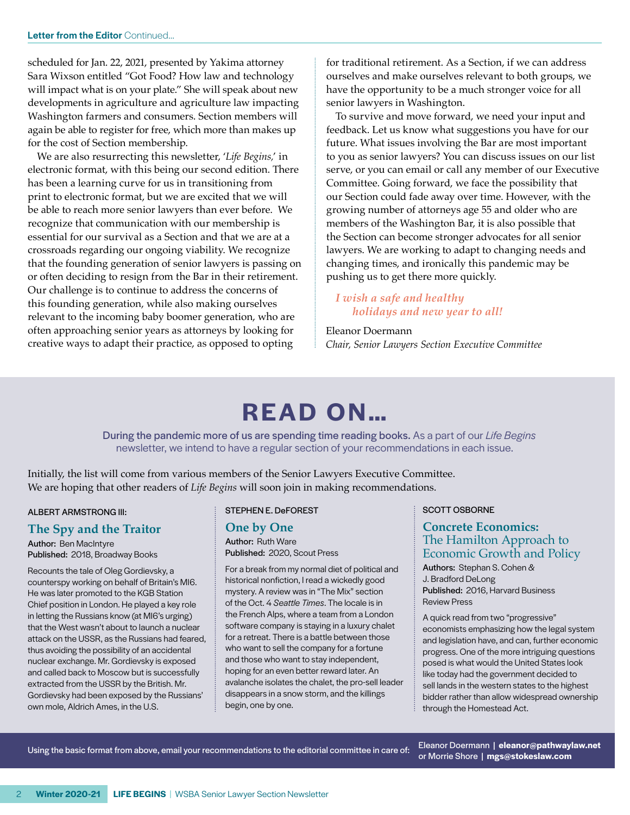scheduled for Jan. 22, 2021, presented by Yakima attorney Sara Wixson entitled "Got Food? How law and technology will impact what is on your plate." She will speak about new developments in agriculture and agriculture law impacting Washington farmers and consumers. Section members will again be able to register for free, which more than makes up for the cost of Section membership.

We are also resurrecting this newsletter, '*Life Begins,*' in electronic format, with this being our second edition. There has been a learning curve for us in transitioning from print to electronic format, but we are excited that we will be able to reach more senior lawyers than ever before. We recognize that communication with our membership is essential for our survival as a Section and that we are at a crossroads regarding our ongoing viability. We recognize that the founding generation of senior lawyers is passing on or often deciding to resign from the Bar in their retirement. Our challenge is to continue to address the concerns of this founding generation, while also making ourselves relevant to the incoming baby boomer generation, who are often approaching senior years as attorneys by looking for creative ways to adapt their practice, as opposed to opting

for traditional retirement. As a Section, if we can address ourselves and make ourselves relevant to both groups, we have the opportunity to be a much stronger voice for all senior lawyers in Washington.

To survive and move forward, we need your input and feedback. Let us know what suggestions you have for our future. What issues involving the Bar are most important to you as senior lawyers? You can discuss issues on our list serve, or you can email or call any member of our Executive Committee. Going forward, we face the possibility that our Section could fade away over time. However, with the growing number of attorneys age 55 and older who are members of the Washington Bar, it is also possible that the Section can become stronger advocates for all senior lawyers. We are working to adapt to changing needs and changing times, and ironically this pandemic may be pushing us to get there more quickly.

#### *I wish a safe and healthy holidays and new year to all!*

Eleanor Doermann *Chair, Senior Lawyers Section Executive Committee*

# **READ ON...**

During the pandemic more of us are spending time reading books. As a part of our *Life Begins* newsletter, we intend to have a regular section of your recommendations in each issue.

Initially, the list will come from various members of the Senior Lawyers Executive Committee. We are hoping that other readers of *Life Begins* will soon join in making recommendations.

#### ALBERT ARMSTRONG III:

#### **The Spy and the Traitor**

Author: Ben MacIntyre Published: 2018, Broadway Books

Recounts the tale of Oleg Gordievsky, a counterspy working on behalf of Britain's MI6. He was later promoted to the KGB Station Chief position in London. He played a key role in letting the Russians know (at MI6's urging) that the West wasn't about to launch a nuclear attack on the USSR, as the Russians had feared, thus avoiding the possibility of an accidental nuclear exchange. Mr. Gordievsky is exposed and called back to Moscow but is successfully extracted from the USSR by the British. Mr. Gordievsky had been exposed by the Russians' own mole, Aldrich Ames, in the U.S.

STEPHEN E. DeFOREST

#### **One by One**

Author: Ruth Ware Published: 2020, Scout Press

For a break from my normal diet of political and historical nonfiction, I read a wickedly good mystery. A review was in "The Mix" section of the Oct. 4 *Seattle Times*. The locale is in the French Alps, where a team from a London software company is staying in a luxury chalet for a retreat. There is a battle between those who want to sell the company for a fortune and those who want to stay independent, hoping for an even better reward later. An avalanche isolates the chalet, the pro-sell leader disappears in a snow storm, and the killings begin, one by one.

SCOTT OSBORNE

#### **Concrete Economics:**  The Hamilton Approach to Economic Growth and Policy

Authors: Stephan S. Cohen & J. Bradford DeLong Published: 2016, Harvard Business Review Press

A quick read from two "progressive" economists emphasizing how the legal system and legislation have, and can, further economic progress. One of the more intriguing questions posed is what would the United States look like today had the government decided to sell lands in the western states to the highest bidder rather than allow widespread ownership through the Homestead Act.

Using the basic format from above, email your recommendations to the editorial committee in care of: Eleanor Doermann | **eleanor@pathwaylaw.net**

or Morrie Shore | **mgs@stokeslaw.com**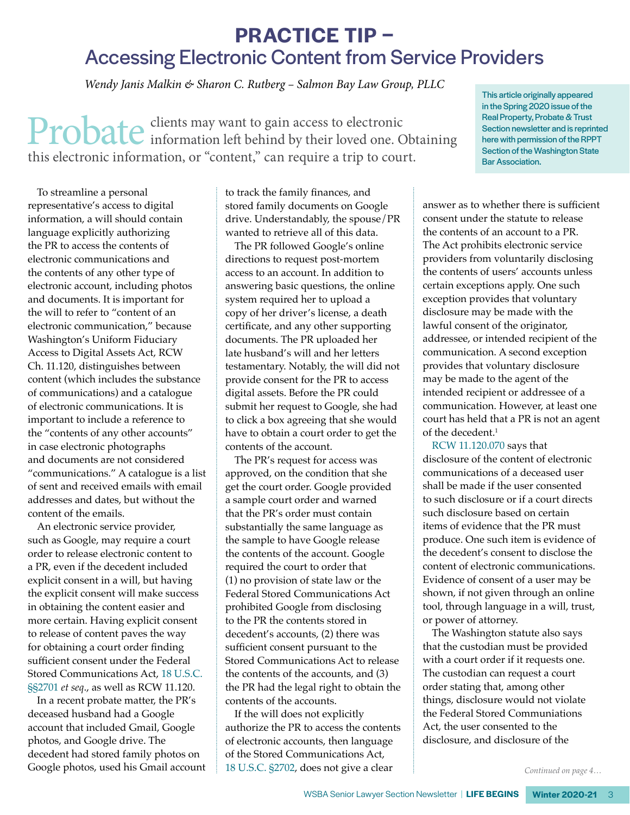## **PRACTICE TIP –** Accessing Electronic Content from Service Providers

 *Wendy Janis Malkin & Sharon C. Rutberg – Salmon Bay Law Group, PLLC*

Probate clients may want to gain access to electronic<br>information left behind by their loved one. Obtaining this electronic information, or "content," can require a trip to court.

To streamline a personal representative's access to digital information, a will should contain language explicitly authorizing the PR to access the contents of electronic communications and the contents of any other type of electronic account, including photos and documents. It is important for the will to refer to "content of an electronic communication," because Washington's Uniform Fiduciary Access to Digital Assets Act, RCW Ch. 11.120, distinguishes between content (which includes the substance of communications) and a catalogue of electronic communications. It is important to include a reference to the "contents of any other accounts" in case electronic photographs and documents are not considered "communications." A catalogue is a list of sent and received emails with email addresses and dates, but without the content of the emails.

An electronic service provider, such as Google, may require a court order to release electronic content to a PR, even if the decedent included explicit consent in a will, but having the explicit consent will make success in obtaining the content easier and more certain. Having explicit consent to release of content paves the way for obtaining a court order finding sufficient consent under the Federal Stored Communications Act, [18 U.S.C.](http://links.casemakerlegal.com/docview.aspx?DocId=36552075&Index=d%3a%5cdtsearch%5cindex%5c01test%5cALL%5fSTAT&HitCount=4&hits=3f0+3f2+404+45c+&categoryAlias=United%20States%20Code&fCount=1&cf=0&dt=STAT&jurisdictions.allFederal=False&jurisdictions.allStates=False&searchType=overview&dataT=STAT&bReqSt=US&ci=14&searchby=(DocumentName+contains+(%222701%22))+OR+(CiteAs+contains+(%222701%22))+OR+(CiteAs+contains+(%222701%22))AND+(TitleFullSearch+contains+(18))+AND+(((State+contains+(%22US%22))+AND+(Datatype+contains+(%22STAT%22)))))  [§§2701](http://links.casemakerlegal.com/docview.aspx?DocId=36552075&Index=d%3a%5cdtsearch%5cindex%5c01test%5cALL%5fSTAT&HitCount=4&hits=3f0+3f2+404+45c+&categoryAlias=United%20States%20Code&fCount=1&cf=0&dt=STAT&jurisdictions.allFederal=False&jurisdictions.allStates=False&searchType=overview&dataT=STAT&bReqSt=US&ci=14&searchby=(DocumentName+contains+(%222701%22))+OR+(CiteAs+contains+(%222701%22))+OR+(CiteAs+contains+(%222701%22))AND+(TitleFullSearch+contains+(18))+AND+(((State+contains+(%22US%22))+AND+(Datatype+contains+(%22STAT%22))))) *et seq*., as well as RCW 11.120.

In a recent probate matter, the PR's deceased husband had a Google account that included Gmail, Google photos, and Google drive. The decedent had stored family photos on Google photos, used his Gmail account

to track the family finances, and stored family documents on Google drive. Understandably, the spouse/PR wanted to retrieve all of this data.

The PR followed Google's online directions to request post-mortem access to an account. In addition to answering basic questions, the online system required her to upload a copy of her driver's license, a death certificate, and any other supporting documents. The PR uploaded her late husband's will and her letters testamentary. Notably, the will did not provide consent for the PR to access digital assets. Before the PR could submit her request to Google, she had to click a box agreeing that she would have to obtain a court order to get the contents of the account.

The PR's request for access was approved, on the condition that she get the court order. Google provided a sample court order and warned that the PR's order must contain substantially the same language as the sample to have Google release the contents of the account. Google required the court to order that (1) no provision of state law or the Federal Stored Communications Act prohibited Google from disclosing to the PR the contents stored in decedent's accounts, (2) there was sufficient consent pursuant to the Stored Communications Act to release the contents of the accounts, and (3) the PR had the legal right to obtain the contents of the accounts.

If the will does not explicitly authorize the PR to access the contents of electronic accounts, then language of the Stored Communications Act, [18 U.S.C. §2702](http://links.casemakerlegal.com/docview.aspx?DocId=36552076&Index=d%3a%5cdtsearch%5cindex%5c01test%5cALL%5fSTAT&HitCount=4&hits=75c+75e+772+7d0+&categoryAlias=United%20States%20Code&fCount=1&cf=0&dt=STAT&jurisdictions.allFederal=False&jurisdictions.allStates=False&searchType=overview&dataT=STAT&bReqSt=US&ci=14&searchby=(DocumentName+contains+(%222702%22))+OR+(CiteAs+contains+(%222702%22))+OR+(CiteAs+contains+(%222702%22))AND+(TitleFullSearch+contains+(18))+AND+(((State+contains+(%22US%22))+AND+(Datatype+contains+(%22STAT%22))))), does not give a clear

This article originally appeared in the Spring 2020 issue of the Real Property, Probate & Trust Section newsletter and is reprinted here with permission of the RPPT Section of the Washington State Bar Association.

answer as to whether there is sufficient consent under the statute to release the contents of an account to a PR. The Act prohibits electronic service providers from voluntarily disclosing the contents of users' accounts unless certain exceptions apply. One such exception provides that voluntary disclosure may be made with the lawful consent of the originator, addressee, or intended recipient of the communication. A second exception provides that voluntary disclosure may be made to the agent of the intended recipient or addressee of a communication. However, at least one court has held that a PR is not an agent of the decedent.1

[RCW 11.120.070](http://links.casemakerlegal.com/docview.aspx?DocId=37649099&Index=d%3a%5cdtsearch%5cindex%5c01test%5cALL%5fSTAT&HitCount=8&hits=1ec+21a+21b+21c+267+284+285+286+&categoryAlias=Revised%20Code&fCount=1&cf=0&dt=STAT&jurisdictions.allFederal=False&jurisdictions.allStates=False&searchType=overview&dataT=STAT&bReqSt=WA&ci=14&searchby=(State+contains+(%22WA%22))AND+((SectionFullSearch+contains+(%2211+120+070%22))+OR+(CiteAs+contains+(%2211+120+070%22)))AND+(TitleFullSearch+contains+(11))+AND+((State+contains+(%22WA%22)))) says that disclosure of the content of electronic communications of a deceased user shall be made if the user consented to such disclosure or if a court directs such disclosure based on certain items of evidence that the PR must produce. One such item is evidence of the decedent's consent to disclose the content of electronic communications. Evidence of consent of a user may be shown, if not given through an online tool, through language in a will, trust, or power of attorney.

The Washington statute also says that the custodian must be provided with a court order if it requests one. The custodian can request a court order stating that, among other things, disclosure would not violate the Federal Stored Communiations Act, the user consented to the disclosure, and disclosure of the

*Continued on page 4…*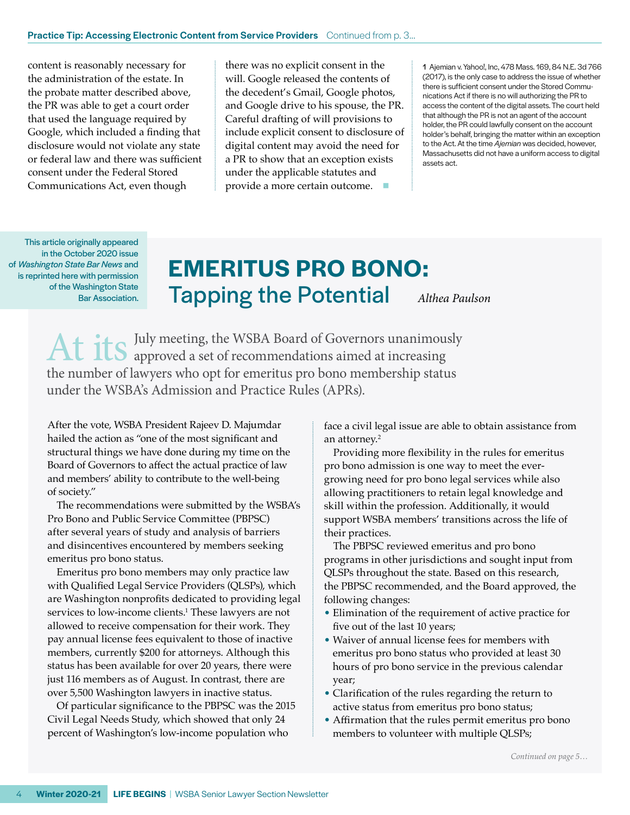content is reasonably necessary for the administration of the estate. In the probate matter described above, the PR was able to get a court order that used the language required by Google, which included a finding that disclosure would not violate any state or federal law and there was sufficient consent under the Federal Stored Communications Act, even though

there was no explicit consent in the will. Google released the contents of the decedent's Gmail, Google photos, and Google drive to his spouse, the PR. Careful drafting of will provisions to include explicit consent to disclosure of digital content may avoid the need for a PR to show that an exception exists under the applicable statutes and provide a more certain outcome.  $\blacksquare$ 

1 Ajemian v. Yahoo!, Inc, 478 Mass. 169, 84 N.E. 3d 766 (2017), is the only case to address the issue of whether there is sufficient consent under the Stored Communications Act if there is no will authorizing the PR to access the content of the digital assets. The court held that although the PR is not an agent of the account holder, the PR could lawfully consent on the account holder's behalf, bringing the matter within an exception to the Act. At the time *Ajemian* was decided, however, Massachusetts did not have a uniform access to digital assets act.

of *Washington State Bar News* and is reprinted here with permission<br>of the Weshington State This article originally appeared in the October 2020 issue of the Washington State

# **EMERITUS PRO BONO:**  Pashington State **Tapping the Potential** Althea Paulson

At its July meeting, the WSBA Board of Governors unanimously the number of lawyers who opt for emeritus pro bono membership status under the WSBA's Admission and Practice Rules (APRs).

After the vote, WSBA President Rajeev D. Majumdar hailed the action as "one of the most significant and structural things we have done during my time on the Board of Governors to affect the actual practice of law and members' ability to contribute to the well-being of society."

The recommendations were submitted by the WSBA's Pro Bono and Public Service Committee (PBPSC) after several years of study and analysis of barriers and disincentives encountered by members seeking emeritus pro bono status.

Emeritus pro bono members may only practice law with Qualified Legal Service Providers (QLSPs), which are Washington nonprofits dedicated to providing legal services to low-income clients.1 These lawyers are not allowed to receive compensation for their work. They pay annual license fees equivalent to those of inactive members, currently \$200 for attorneys. Although this status has been available for over 20 years, there were just 116 members as of August. In contrast, there are over 5,500 Washington lawyers in inactive status.

Of particular significance to the PBPSC was the 2015 Civil Legal Needs Study, which showed that only 24 percent of Washington's low-income population who

face a civil legal issue are able to obtain assistance from an attorney.2

Providing more flexibility in the rules for emeritus pro bono admission is one way to meet the evergrowing need for pro bono legal services while also allowing practitioners to retain legal knowledge and skill within the profession. Additionally, it would support WSBA members' transitions across the life of their practices.

The PBPSC reviewed emeritus and pro bono programs in other jurisdictions and sought input from QLSPs throughout the state. Based on this research, the PBPSC recommended, and the Board approved, the following changes:

- Elimination of the requirement of active practice for five out of the last 10 years;
- Waiver of annual license fees for members with emeritus pro bono status who provided at least 30 hours of pro bono service in the previous calendar year;
- Clarification of the rules regarding the return to active status from emeritus pro bono status;
- Affirmation that the rules permit emeritus pro bono members to volunteer with multiple QLSPs;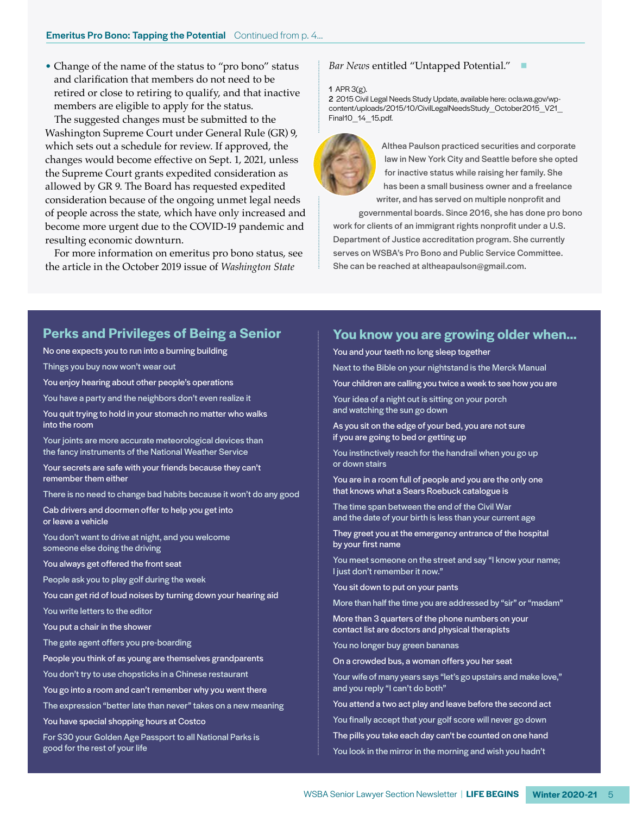• Change of the name of the status to "pro bono" status and clarification that members do not need to be retired or close to retiring to qualify, and that inactive members are eligible to apply for the status.

The suggested changes must be submitted to the Washington Supreme Court under General Rule (GR) 9, which sets out a schedule for review. If approved, the changes would become effective on Sept. 1, 2021, unless the Supreme Court grants expedited consideration as allowed by GR 9. The Board has requested expedited consideration because of the ongoing unmet legal needs of people across the state, which have only increased and become more urgent due to the COVID-19 pandemic and resulting economic downturn.

For more information on emeritus pro bono status, see the article in the October 2019 issue of *Washington State* 

#### **Bar News entitled "Untapped Potential."**

#### 1 APR 3(g).

2 2015 Civil Legal Needs Study Update, available here: [ocla.wa.gov/wp](http://ocla.wa.gov/wp-
content/uploads/2015/10/CivilLegalNeedsStudy_October2015_V21_
Final10_14_15.pdf)[content/uploads/2015/10/CivilLegalNeedsStudy\\_October2015\\_V21\\_](http://ocla.wa.gov/wp-
content/uploads/2015/10/CivilLegalNeedsStudy_October2015_V21_
Final10_14_15.pdf) [Final10\\_14\\_15.pdf](http://ocla.wa.gov/wp-
content/uploads/2015/10/CivilLegalNeedsStudy_October2015_V21_
Final10_14_15.pdf).



Althea Paulson practiced securities and corporate law in New York City and Seattle before she opted for inactive status while raising her family. She has been a small business owner and a freelance writer, and has served on multiple nonprofit and

governmental boards. Since 2016, she has done pro bono work for clients of an immigrant rights nonprofit under a U.S. Department of Justice accreditation program. She currently serves on WSBA's Pro Bono and Public Service Committee. She can be reached at altheapaulson@gmail.com.

## **Perks and Privileges of Being a Senior**

No one expects you to run into a burning building Things you buy now won't wear out You enjoy hearing about other people's operations

You have a party and the neighbors don't even realize it

You quit trying to hold in your stomach no matter who walks into the room

Your joints are more accurate meteorological devices than the fancy instruments of the National Weather Service

Your secrets are safe with your friends because they can't remember them either

There is no need to change bad habits because it won't do any good

Cab drivers and doormen offer to help you get into or leave a vehicle

You don't want to drive at night, and you welcome someone else doing the driving

You always get offered the front seat

People ask you to play golf during the week

You can get rid of loud noises by turning down your hearing aid

You write letters to the editor

You put a chair in the shower

The gate agent offers you pre-boarding

People you think of as young are themselves grandparents

You don't try to use chopsticks in a Chinese restaurant

You go into a room and can't remember why you went there

The expression "better late than never" takes on a new meaning

You have special shopping hours at Costco

For \$30 your Golden Age Passport to all National Parks is good for the rest of your life

### **You know you are growing older when…**

You and your teeth no long sleep together

Next to the Bible on your nightstand is the Merck Manual

Your children are calling you twice a week to see how you are

Your idea of a night out is sitting on your porch and watching the sun go down

As you sit on the edge of your bed, you are not sure if you are going to bed or getting up

You instinctively reach for the handrail when you go up or down stairs

You are in a room full of people and you are the only one that knows what a Sears Roebuck catalogue is

The time span between the end of the Civil War and the date of your birth is less than your current age

They greet you at the emergency entrance of the hospital by your first name

You meet someone on the street and say "I know your name; I just don't remember it now."

You sit down to put on your pants

More than half the time you are addressed by "sir" or "madam"

More than 3 quarters of the phone numbers on your contact list are doctors and physical therapists

You no longer buy green bananas

On a crowded bus, a woman offers you her seat

Your wife of many years says "let's go upstairs and make love," and you reply "I can't do both"

You attend a two act play and leave before the second act

You finally accept that your golf score will never go down

The pills you take each day can't be counted on one hand

You look in the mirror in the morning and wish you hadn't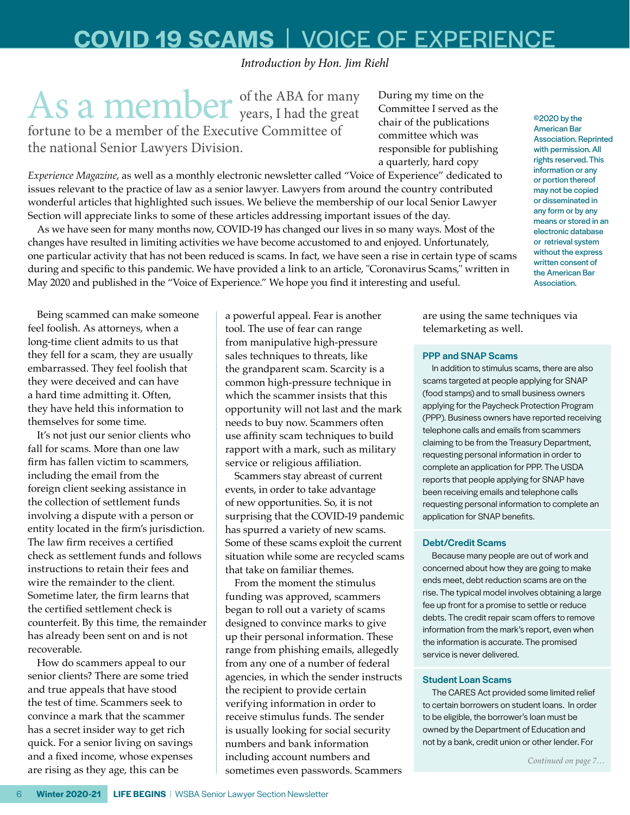# **COVID 19 SCAMS** |VOICE OF EXPERIENCE

*Introduction by Hon. Jim Riehl*

As a member of the ABA for many fortune to be a member of the Executive Committee of the national Senior Lawyers Division.

During my time on the Committee I served as the chair of the publications committee which was responsible for publishing a quarterly, hard copy

*Experience Magazine*, as well as a monthly electronic newsletter called "Voice of Experience" dedicated to issues relevant to the practice of law as a senior lawyer. Lawyers from around the country contributed wonderful articles that highlighted such issues. We believe the membership of our local Senior Lawyer Section will appreciate links to some of these articles addressing important issues of the day.

As we have seen for many months now, COVID-19 has changed our lives in so many ways. Most of the changes have resulted in limiting activities we have become accustomed to and enjoyed. Unfortunately, one particular activity that has not been reduced is scams. In fact, we have seen a rise in certain type of scams during and specific to this pandemic. We have provided a link to an article, "Coronavirus Scams," written in May 2020 and published in the "Voice of Experience." We hope you find it interesting and useful.

Being scammed can make someone feel foolish. As attorneys, when a long-time client admits to us that they fell for a scam, they are usually embarrassed. They feel foolish that they were deceived and can have a hard time admitting it. Often, they have held this information to themselves for some time.

It's not just our senior clients who fall for scams. More than one law firm has fallen victim to scammers, including the email from the foreign client seeking assistance in the collection of settlement funds involving a dispute with a person or entity located in the firm's jurisdiction. The law firm receives a certified check as settlement funds and follows instructions to retain their fees and wire the remainder to the client. Sometime later, the firm learns that the certified settlement check is counterfeit. By this time, the remainder has already been sent on and is not recoverable.

How do scammers appeal to our senior clients? There are some tried and true appeals that have stood the test of time. Scammers seek to convince a mark that the scammer has a secret insider way to get rich quick. For a senior living on savings and a fixed income, whose expenses are rising as they age, this can be

a powerful appeal. Fear is another tool. The use of fear can range from manipulative high-pressure sales techniques to threats, like the grandparent scam. Scarcity is a common high-pressure technique in which the scammer insists that this opportunity will not last and the mark needs to buy now. Scammers often use affinity scam techniques to build rapport with a mark, such as military service or religious affiliation.

Scammers stay abreast of current events, in order to take advantage of new opportunities. So, it is not surprising that the COVID-19 pandemic has spurred a variety of new scams. Some of these scams exploit the current situation while some are recycled scams that take on familiar themes.

From the moment the stimulus funding was approved, scammers began to roll out a variety of scams designed to convince marks to give up their personal information. These range from phishing emails, allegedly from any one of a number of federal agencies, in which the sender instructs the recipient to provide certain verifying information in order to receive stimulus funds. The sender is usually looking for social security numbers and bank information including account numbers and sometimes even passwords. Scammers American Bar Association. Reprinted with permission. All rights reserved. This information or any or portion thereof may not be copied or disseminated in any form or by any means or stored in an electronic database or retrieval system without the express written consent of the American Bar Association.

©2020 by the

are using the same techniques via telemarketing as well.

#### PPP and SNAP Scams

In addition to stimulus scams, there are also scams targeted at people applying for SNAP (food stamps) and to small business owners applying for the Paycheck Protection Program (PPP). Business owners have reported receiving telephone calls and emails from scammers claiming to be from the Treasury Department, requesting personal information in order to complete an application for PPP. The USDA reports that people applying for SNAP have been receiving emails and telephone calls requesting personal information to complete an application for SNAP benefits.

#### Debt/Credit Scams

Because many people are out of work and concerned about how they are going to make ends meet, debt reduction scams are on the rise. The typical model involves obtaining a large fee up front for a promise to settle or reduce debts. The credit repair scam offers to remove information from the mark's report, even when the information is accurate. The promised service is never delivered.

#### Student Loan Scams

The CARES Act provided some limited relief to certain borrowers on student loans. In order to be eligible, the borrower's loan must be owned by the Department of Education and not by a bank, credit union or other lender. For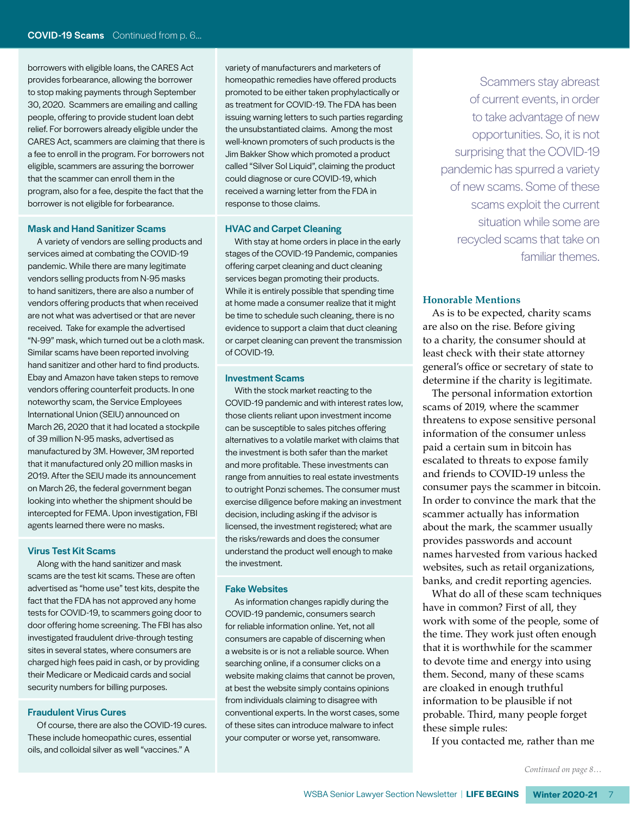borrowers with eligible loans, the CARES Act provides forbearance, allowing the borrower to stop making payments through September 30, 2020. Scammers are emailing and calling people, offering to provide student loan debt relief. For borrowers already eligible under the CARES Act, scammers are claiming that there is a fee to enroll in the program. For borrowers not eligible, scammers are assuring the borrower that the scammer can enroll them in the program, also for a fee, despite the fact that the borrower is not eligible for forbearance.

#### Mask and Hand Sanitizer Scams

A variety of vendors are selling products and services aimed at combating the COVID-19 pandemic. While there are many legitimate vendors selling products from N-95 masks to hand sanitizers, there are also a number of vendors offering products that when received are not what was advertised or that are never received. Take for example the advertised "N-99" mask, which turned out be a cloth mask. Similar scams have been reported involving hand sanitizer and other hard to find products. Ebay and Amazon have taken steps to remove vendors offering counterfeit products. In one noteworthy scam, the Service Employees International Union (SEIU) announced on March 26, 2020 that it had located a stockpile of 39 million N-95 masks, advertised as manufactured by 3M. However, 3M reported that it manufactured only 20 million masks in 2019. After the SEIU made its announcement on March 26, the federal government began looking into whether the shipment should be intercepted for FEMA. Upon investigation, FBI agents learned there were no masks.

#### Virus Test Kit Scams

Along with the hand sanitizer and mask scams are the test kit scams. These are often advertised as "home use" test kits, despite the fact that the FDA has not approved any home tests for COVID-19, to scammers going door to door offering home screening. The FBI has also investigated fraudulent drive-through testing sites in several states, where consumers are charged high fees paid in cash, or by providing their Medicare or Medicaid cards and social security numbers for billing purposes.

#### Fraudulent Virus Cures

Of course, there are also the COVID-19 cures. These include homeopathic cures, essential oils, and colloidal silver as well "vaccines." A

variety of manufacturers and marketers of homeopathic remedies have offered products promoted to be either taken prophylactically or as treatment for COVID-19. The FDA has been issuing warning letters to such parties regarding the unsubstantiated claims. Among the most well-known promoters of such products is the Jim Bakker Show which promoted a product called "Silver Sol Liquid", claiming the product could diagnose or cure COVID-19, which received a warning letter from the FDA in response to those claims.

#### HVAC and Carpet Cleaning

With stay at home orders in place in the early stages of the COVID-19 Pandemic, companies offering carpet cleaning and duct cleaning services began promoting their products. While it is entirely possible that spending time at home made a consumer realize that it might be time to schedule such cleaning, there is no evidence to support a claim that duct cleaning or carpet cleaning can prevent the transmission of COVID-19.

#### Investment Scams

With the stock market reacting to the COVID-19 pandemic and with interest rates low, those clients reliant upon investment income can be susceptible to sales pitches offering alternatives to a volatile market with claims that the investment is both safer than the market and more profitable. These investments can range from annuities to real estate investments to outright Ponzi schemes. The consumer must exercise diligence before making an investment decision, including asking if the advisor is licensed, the investment registered; what are the risks/rewards and does the consumer understand the product well enough to make the investment.

#### Fake Websites

As information changes rapidly during the COVID-19 pandemic, consumers search for reliable information online. Yet, not all consumers are capable of discerning when a website is or is not a reliable source. When searching online, if a consumer clicks on a website making claims that cannot be proven, at best the website simply contains opinions from individuals claiming to disagree with conventional experts. In the worst cases, some of these sites can introduce malware to infect your computer or worse yet, ransomware.

Scammers stay abreast of current events, in order to take advantage of new opportunities. So, it is not surprising that the COVID-19 pandemic has spurred a variety of new scams. Some of these scams exploit the current situation while some are recycled scams that take on familiar themes.

#### **Honorable Mentions**

As is to be expected, charity scams are also on the rise. Before giving to a charity, the consumer should at least check with their state attorney general's office or secretary of state to determine if the charity is legitimate.

The personal information extortion scams of 2019, where the scammer threatens to expose sensitive personal information of the consumer unless paid a certain sum in bitcoin has escalated to threats to expose family and friends to COVID-19 unless the consumer pays the scammer in bitcoin. In order to convince the mark that the scammer actually has information about the mark, the scammer usually provides passwords and account names harvested from various hacked websites, such as retail organizations, banks, and credit reporting agencies.

What do all of these scam techniques have in common? First of all, they work with some of the people, some of the time. They work just often enough that it is worthwhile for the scammer to devote time and energy into using them. Second, many of these scams are cloaked in enough truthful information to be plausible if not probable. Third, many people forget these simple rules:

If you contacted me, rather than me

*Continued on page 8…*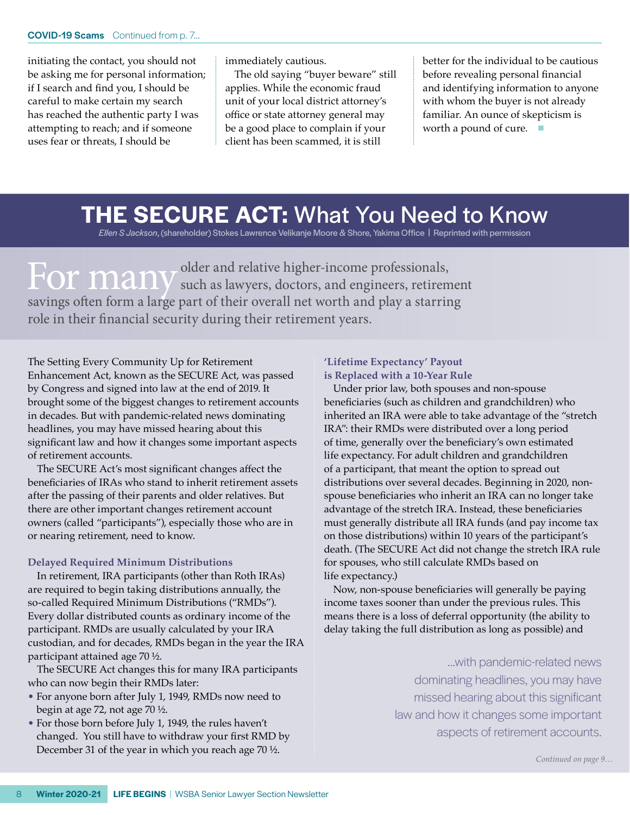initiating the contact, you should not be asking me for personal information; if I search and find you, I should be careful to make certain my search has reached the authentic party I was attempting to reach; and if someone uses fear or threats, I should be

immediately cautious.

The old saying "buyer beware" still applies. While the economic fraud unit of your local district attorney's office or state attorney general may be a good place to complain if your client has been scammed, it is still

better for the individual to be cautious before revealing personal financial and identifying information to anyone with whom the buyer is not already familiar. An ounce of skepticism is worth a pound of cure.  $\Box$ 

# **THE SECURE ACT:** What You Need to Know

*Ellen S Jackson*, (shareholder) Stokes Lawrence Velikanje Moore & Shore, Yakima Office | Reprinted with permission

For many <sup>older and relative higher-income professionals,<br>containing the state of the state of the state of the state of the state of the state of the state of the state of the state of the state of the state of the state </sup> savings often form a large part of their overall net worth and play a starring role in their financial security during their retirement years.

The Setting Every Community Up for Retirement Enhancement Act, known as the SECURE Act, was passed by Congress and signed into law at the end of 2019. It brought some of the biggest changes to retirement accounts in decades. But with pandemic-related news dominating headlines, you may have missed hearing about this significant law and how it changes some important aspects of retirement accounts.

The SECURE Act's most significant changes affect the beneficiaries of IRAs who stand to inherit retirement assets after the passing of their parents and older relatives. But there are other important changes retirement account owners (called "participants"), especially those who are in or nearing retirement, need to know.

#### **Delayed Required Minimum Distributions**

In retirement, IRA participants (other than Roth IRAs) are required to begin taking distributions annually, the so-called Required Minimum Distributions ("RMDs"). Every dollar distributed counts as ordinary income of the participant. RMDs are usually calculated by your IRA custodian, and for decades, RMDs began in the year the IRA participant attained age 70 ½.

The SECURE Act changes this for many IRA participants who can now begin their RMDs later:

- For anyone born after July 1, 1949, RMDs now need to begin at age 72, not age 70 ½.
- For those born before July 1, 1949, the rules haven't changed. You still have to withdraw your first RMD by December 31 of the year in which you reach age 70 ½.

#### **'Lifetime Expectancy' Payout is Replaced with a 10-Year Rule**

Under prior law, both spouses and non-spouse beneficiaries (such as children and grandchildren) who inherited an IRA were able to take advantage of the "stretch IRA": their RMDs were distributed over a long period of time, generally over the beneficiary's own estimated life expectancy. For adult children and grandchildren of a participant, that meant the option to spread out distributions over several decades. Beginning in 2020, nonspouse beneficiaries who inherit an IRA can no longer take advantage of the stretch IRA. Instead, these beneficiaries must generally distribute all IRA funds (and pay income tax on those distributions) within 10 years of the participant's death. (The SECURE Act did not change the stretch IRA rule for spouses, who still calculate RMDs based on life expectancy.)

Now, non-spouse beneficiaries will generally be paying income taxes sooner than under the previous rules. This means there is a loss of deferral opportunity (the ability to delay taking the full distribution as long as possible) and

> …with pandemic-related news dominating headlines, you may have missed hearing about this significant law and how it changes some important aspects of retirement accounts.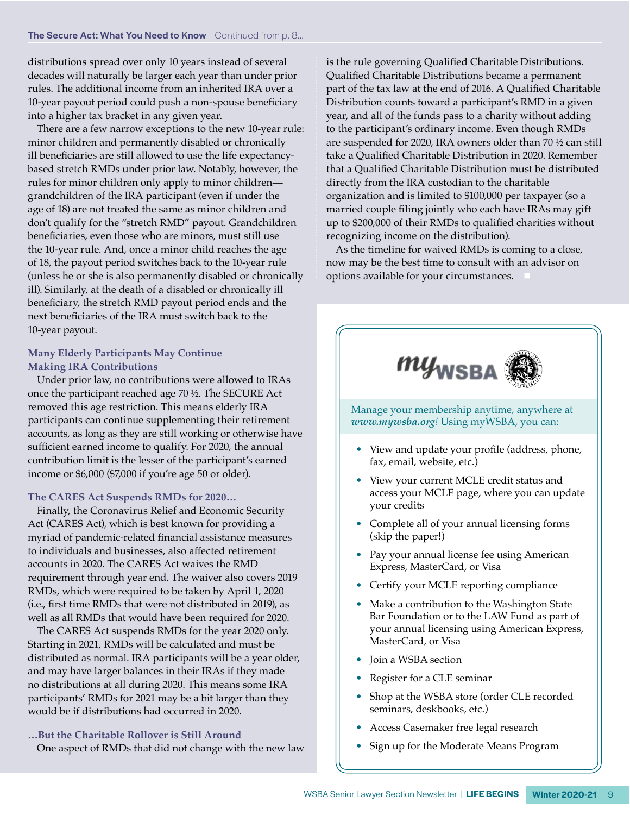distributions spread over only 10 years instead of several decades will naturally be larger each year than under prior rules. The additional income from an inherited IRA over a 10-year payout period could push a non-spouse beneficiary into a higher tax bracket in any given year.

There are a few narrow exceptions to the new 10-year rule: minor children and permanently disabled or chronically ill beneficiaries are still allowed to use the life expectancybased stretch RMDs under prior law. Notably, however, the rules for minor children only apply to minor children grandchildren of the IRA participant (even if under the age of 18) are not treated the same as minor children and don't qualify for the "stretch RMD" payout. Grandchildren beneficiaries, even those who are minors, must still use the 10-year rule. And, once a minor child reaches the age of 18, the payout period switches back to the 10-year rule (unless he or she is also permanently disabled or chronically ill). Similarly, at the death of a disabled or chronically ill beneficiary, the stretch RMD payout period ends and the next beneficiaries of the IRA must switch back to the 10-year payout.

#### **Many Elderly Participants May Continue Making IRA Contributions**

Under prior law, no contributions were allowed to IRAs once the participant reached age 70 ½. The SECURE Act removed this age restriction. This means elderly IRA participants can continue supplementing their retirement accounts, as long as they are still working or otherwise have sufficient earned income to qualify. For 2020, the annual contribution limit is the lesser of the participant's earned income or \$6,000 (\$7,000 if you're age 50 or older).

#### **The CARES Act Suspends RMDs for 2020…**

Finally, the Coronavirus Relief and Economic Security Act (CARES Act), which is best known for providing a myriad of pandemic-related financial assistance measures to individuals and businesses, also affected retirement accounts in 2020. The CARES Act waives the RMD requirement through year end. The waiver also covers 2019 RMDs, which were required to be taken by April 1, 2020 (i.e., first time RMDs that were not distributed in 2019), as well as all RMDs that would have been required for 2020.

The CARES Act suspends RMDs for the year 2020 only. Starting in 2021, RMDs will be calculated and must be distributed as normal. IRA participants will be a year older, and may have larger balances in their IRAs if they made no distributions at all during 2020. This means some IRA participants' RMDs for 2021 may be a bit larger than they would be if distributions had occurred in 2020.

**…But the Charitable Rollover is Still Around** One aspect of RMDs that did not change with the new law is the rule governing Qualified Charitable Distributions. Qualified Charitable Distributions became a permanent part of the tax law at the end of 2016. A Qualified Charitable Distribution counts toward a participant's RMD in a given year, and all of the funds pass to a charity without adding to the participant's ordinary income. Even though RMDs are suspended for 2020, IRA owners older than 70 ½ can still take a Qualified Charitable Distribution in 2020. Remember that a Qualified Charitable Distribution must be distributed directly from the IRA custodian to the charitable organization and is limited to \$100,000 per taxpayer (so a married couple filing jointly who each have IRAs may gift up to \$200,000 of their RMDs to qualified charities without recognizing income on the distribution).

As the timeline for waived RMDs is coming to a close, now may be the best time to consult with an advisor on options available for your circumstances.



Manage your membership anytime, anywhere at *[www.mywsba.org](http://www.mywsba.org)!* Using myWSBA, you can:

- View and update your profile (address, phone, fax, email, website, etc.)
- View your current MCLE credit status and access your MCLE page, where you can update your credits
- Complete all of your annual licensing forms (skip the paper!)
- Pay your annual license fee using American Express, MasterCard, or Visa
- Certify your MCLE reporting compliance
- Make a contribution to the Washington State Bar Foundation or to the LAW Fund as part of your annual licensing using American Express, MasterCard, or Visa
- Join a WSBA section
- Register for a CLE seminar
- Shop at the WSBA store (order CLE recorded seminars, deskbooks, etc.)
- Access Casemaker free legal research
- Sign up for the Moderate Means Program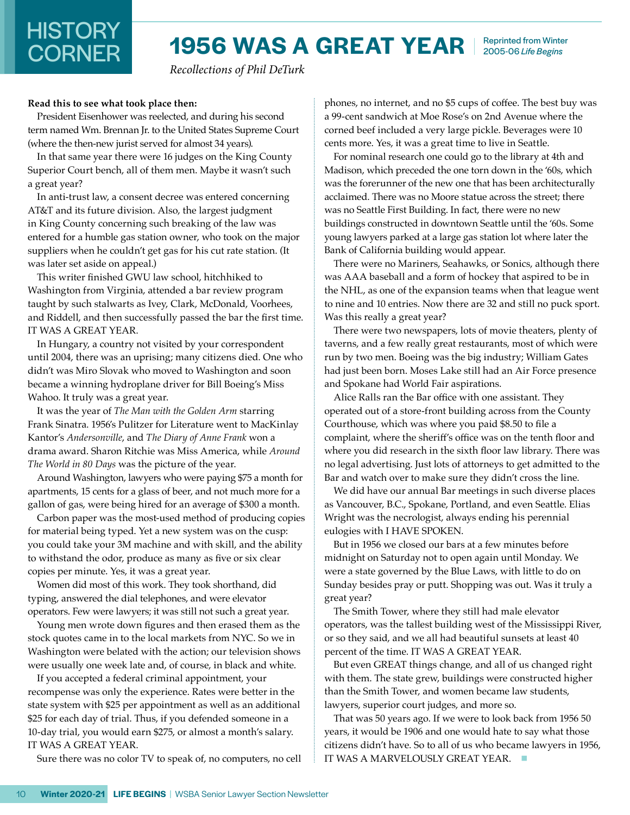# **HISTORY<br>CORNER**

## **1956 WAS A GREAT YEAR** Reprinted from Winter 2005-06 *Life Begins*

*Recollections of Phil DeTurk*

#### **Read this to see what took place then:**

President Eisenhower was reelected, and during his second term named Wm. Brennan Jr. to the United States Supreme Court (where the then-new jurist served for almost 34 years).

In that same year there were 16 judges on the King County Superior Court bench, all of them men. Maybe it wasn't such a great year?

In anti-trust law, a consent decree was entered concerning AT&T and its future division. Also, the largest judgment in King County concerning such breaking of the law was entered for a humble gas station owner, who took on the major suppliers when he couldn't get gas for his cut rate station. (It was later set aside on appeal.)

This writer finished GWU law school, hitchhiked to Washington from Virginia, attended a bar review program taught by such stalwarts as Ivey, Clark, McDonald, Voorhees, and Riddell, and then successfully passed the bar the first time. IT WAS A GREAT YEAR.

In Hungary, a country not visited by your correspondent until 2004, there was an uprising; many citizens died. One who didn't was Miro Slovak who moved to Washington and soon became a winning hydroplane driver for Bill Boeing's Miss Wahoo. It truly was a great year.

It was the year of *The Man with the Golden Arm* starring Frank Sinatra. 1956's Pulitzer for Literature went to MacKinlay Kantor's *Andersonville*, and *The Diary of Anne Frank* won a drama award. Sharon Ritchie was Miss America, while *Around The World in 80 Days* was the picture of the year.

Around Washington, lawyers who were paying \$75 a month for apartments, 15 cents for a glass of beer, and not much more for a gallon of gas, were being hired for an average of \$300 a month.

Carbon paper was the most-used method of producing copies for material being typed. Yet a new system was on the cusp: you could take your 3M machine and with skill, and the ability to withstand the odor, produce as many as five or six clear copies per minute. Yes, it was a great year.

Women did most of this work. They took shorthand, did typing, answered the dial telephones, and were elevator operators. Few were lawyers; it was still not such a great year.

Young men wrote down figures and then erased them as the stock quotes came in to the local markets from NYC. So we in Washington were belated with the action; our television shows were usually one week late and, of course, in black and white.

If you accepted a federal criminal appointment, your recompense was only the experience. Rates were better in the state system with \$25 per appointment as well as an additional \$25 for each day of trial. Thus, if you defended someone in a 10-day trial, you would earn \$275, or almost a month's salary. IT WAS A GREAT YEAR.

Sure there was no color TV to speak of, no computers, no cell

phones, no internet, and no \$5 cups of coffee. The best buy was a 99-cent sandwich at Moe Rose's on 2nd Avenue where the corned beef included a very large pickle. Beverages were 10 cents more. Yes, it was a great time to live in Seattle.

For nominal research one could go to the library at 4th and Madison, which preceded the one torn down in the '60s, which was the forerunner of the new one that has been architecturally acclaimed. There was no Moore statue across the street; there was no Seattle First Building. In fact, there were no new buildings constructed in downtown Seattle until the '60s. Some young lawyers parked at a large gas station lot where later the Bank of California building would appear.

There were no Mariners, Seahawks, or Sonics, although there was AAA baseball and a form of hockey that aspired to be in the NHL, as one of the expansion teams when that league went to nine and 10 entries. Now there are 32 and still no puck sport. Was this really a great year?

There were two newspapers, lots of movie theaters, plenty of taverns, and a few really great restaurants, most of which were run by two men. Boeing was the big industry; William Gates had just been born. Moses Lake still had an Air Force presence and Spokane had World Fair aspirations.

Alice Ralls ran the Bar office with one assistant. They operated out of a store-front building across from the County Courthouse, which was where you paid \$8.50 to file a complaint, where the sheriff's office was on the tenth floor and where you did research in the sixth floor law library. There was no legal advertising. Just lots of attorneys to get admitted to the Bar and watch over to make sure they didn't cross the line.

We did have our annual Bar meetings in such diverse places as Vancouver, B.C., Spokane, Portland, and even Seattle. Elias Wright was the necrologist, always ending his perennial eulogies with I HAVE SPOKEN.

But in 1956 we closed our bars at a few minutes before midnight on Saturday not to open again until Monday. We were a state governed by the Blue Laws, with little to do on Sunday besides pray or putt. Shopping was out. Was it truly a great year?

The Smith Tower, where they still had male elevator operators, was the tallest building west of the Mississippi River, or so they said, and we all had beautiful sunsets at least 40 percent of the time. IT WAS A GREAT YEAR.

But even GREAT things change, and all of us changed right with them. The state grew, buildings were constructed higher than the Smith Tower, and women became law students, lawyers, superior court judges, and more so.

That was 50 years ago. If we were to look back from 1956 50 years, it would be 1906 and one would hate to say what those citizens didn't have. So to all of us who became lawyers in 1956, IT WAS A MARVELOUSLY GREAT YEAR.